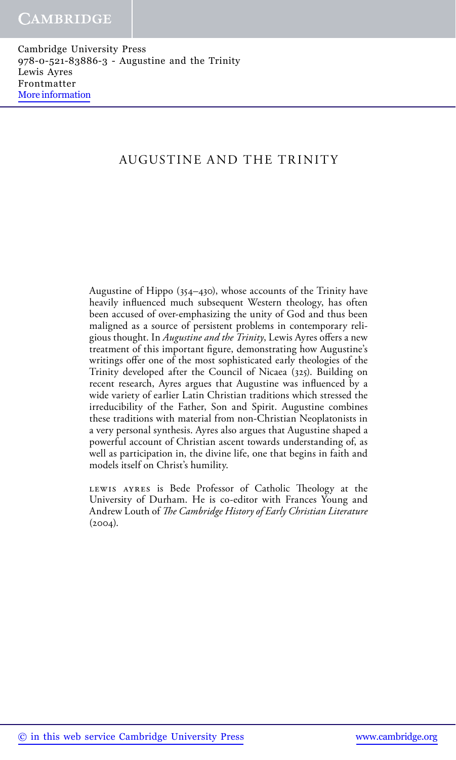#### AUGUSTINE AND THE TRINITY

Augustine of Hippo (354–430), whose accounts of the Trinity have heavily influenced much subsequent Western theology, has often been accused of over-emphasizing the unity of God and thus been maligned as a source of persistent problems in contemporary religious thought. In *Augustine and the Trinity*, Lewis Ayres offers a new treatment of this important figure, demonstrating how Augustine's writings offer one of the most sophisticated early theologies of the Trinity developed after the Council of Nicaea (325). Building on recent research, Ayres argues that Augustine was influenced by a wide variety of earlier Latin Christian traditions which stressed the irreducibility of the Father, Son and Spirit. Augustine combines these traditions with material from non-Christian Neoplatonists in a very personal synthesis. Ayres also argues that Augustine shaped a powerful account of Christian ascent towards understanding of, as well as participation in, the divine life, one that begins in faith and models itself on Christ's humility.

lewis ayres is Bede Professor of Catholic Theology at the University of Durham. He is co-editor with Frances Young and Andrew Louth of *The Cambridge History of Early Christian Literature*  $(2004).$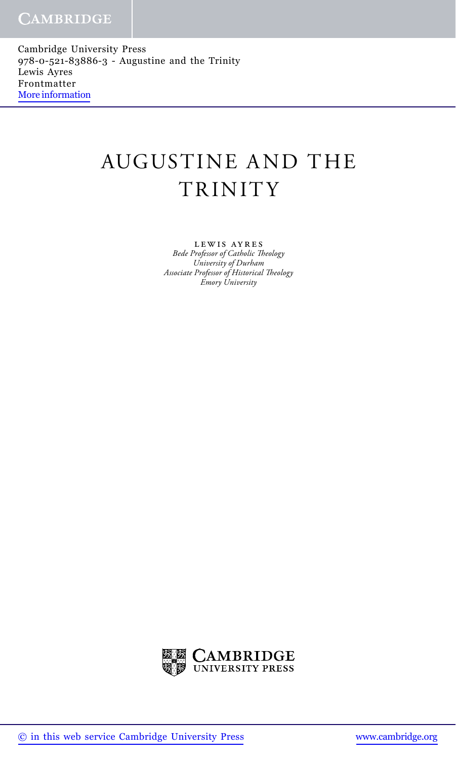# AUGUSTINE A ND THE TRINITY

lewis ayres *Bede Professor of Catholic Theology University of Durham Associate Professor of Historical Theology Emory University*

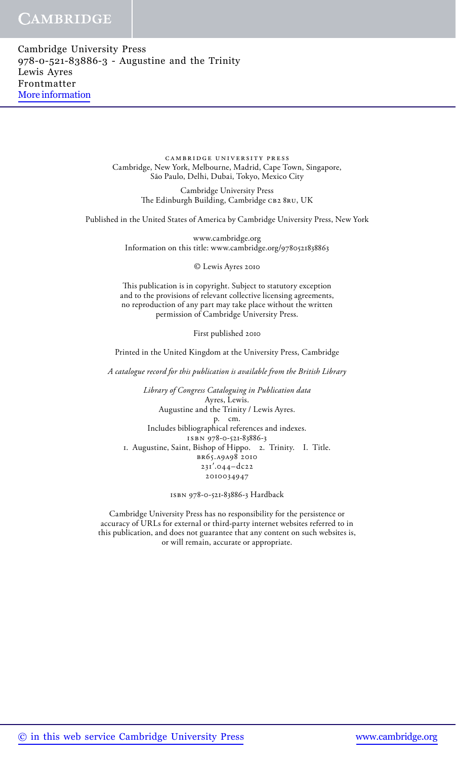Cambridge University Press 978-0-521-83886-3 - Augustine and the Trinity Lewis Ayres Frontmatter [More information](http://www.cambridge.org/9780521838863)

> cambridge university press Cambridge, New York, Melbourne, Madrid, Cape Town, Singapore, São Paulo, Delhi, Dubai, Tokyo, Mexico City

> > Cambridge University Press The Edinburgh Building, Cambridge CB2 8RU, UK

Published in the United States of America by Cambridge University Press, New York

www.cambridge.org Information on this title: www.cambridge.org/9780521838863

© Lewis Ayres 2010

This publication is in copyright. Subject to statutory exception and to the provisions of relevant collective licensing agreements, no reproduction of any part may take place without the written permission of Cambridge University Press.

First published 2010

Printed in the United Kingdom at the University Press, Cambridge

*A catalogue record for this publication is available from the British Library*

*Library of Congress Cataloguing in Publication data* Ayres, Lewis. Augustine and the Trinity / Lewis Ayres. p. cm. Includes bibliographical references and indexes. isbn 978-0-521-83886-3 1. Augustine, Saint, Bishop of Hippo. 2. Trinity. I. Title. br65.a9a98 2010  $231'.044 - dc22$ 2010034947

isbn 978-0-521-83886-3 Hardback

Cambridge University Press has no responsibility for the persistence or accuracy of URLs for external or third-party internet websites referred to in this publication, and does not guarantee that any content on such websites is, or will remain, accurate or appropriate.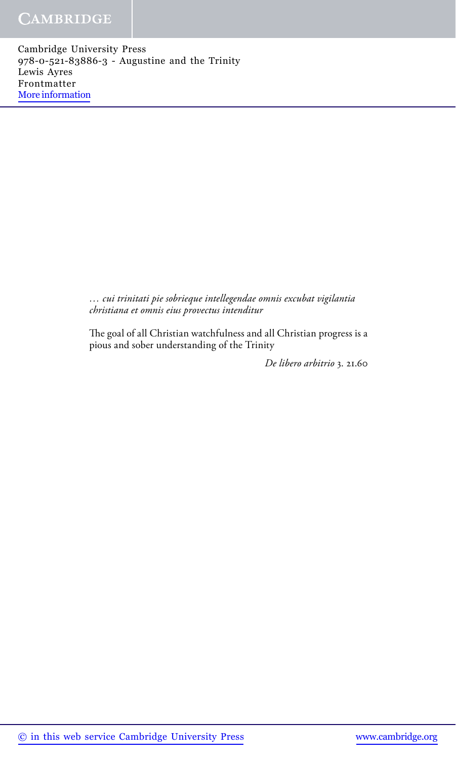Cambridge University Press 978-0-521-83886-3 - Augustine and the Trinity Lewis Ayres Frontmatter [More information](http://www.cambridge.org/9780521838863)

> *… cui trinitati pie sobrieque intellegendae omnis excubat vigilantia christiana et omnis eius provectus intenditur*

The goal of all Christian watchfulness and all Christian progress is a pious and sober understanding of the Trinity

*De libero arbitrio* 3. 21.60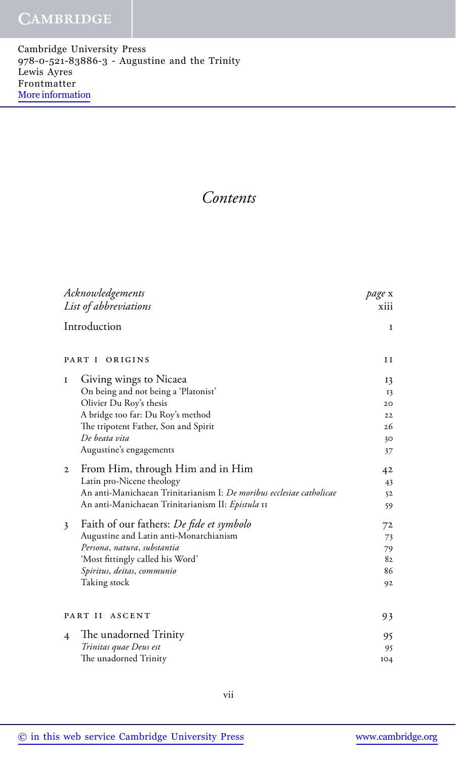Cambridge University Press 978-0-521-83886-3 - Augustine and the Trinity Lewis Ayres Frontmatter [More information](http://www.cambridge.org/9780521838863)

## *Contents*

| Acknowledgements                                                     |     |
|----------------------------------------------------------------------|-----|
| List of abbreviations                                                |     |
| Introduction                                                         | 1   |
| PART I ORIGINS                                                       | 11  |
| Giving wings to Nicaea<br>1                                          | 13  |
| On being and not being a 'Platonist'                                 | 13  |
| Olivier Du Roy's thesis                                              | 20  |
| A bridge too far: Du Roy's method                                    | 22  |
| The tripotent Father, Son and Spirit                                 | 26  |
| De beata vita                                                        | 30  |
| Augustine's engagements                                              | 37  |
| From Him, through Him and in Him<br>$\mathbf{2}$                     | 42  |
| Latin pro-Nicene theology                                            | 43  |
| An anti-Manichaean Trinitarianism I: De moribus ecclesiae catholicae | 52  |
| An anti-Manichaean Trinitarianism II: Epistula II                    | 59  |
| Faith of our fathers: <i>De fide et symbolo</i><br>3                 | 72  |
| Augustine and Latin anti-Monarchianism                               | 73  |
| Persona, natura, substantia                                          | 79  |
| 'Most fittingly called his Word'                                     | 82  |
| Spiritus, deitas, communio                                           | 86  |
| Taking stock                                                         | 92  |
|                                                                      |     |
| PART II ASCENT                                                       | 93  |
| The unadorned Trinity<br>$\overline{4}$                              | 95  |
| Trinitas quae Deus est                                               | 95  |
| The unadorned Trinity                                                | IO4 |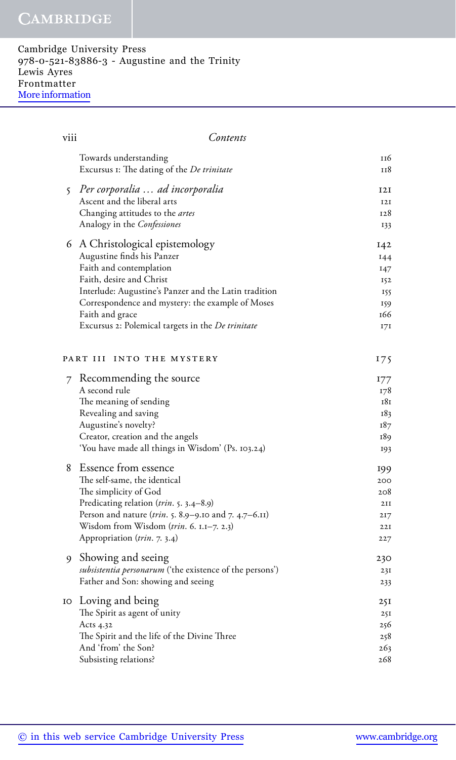Cambridge University Press 978-0-521-83886-3 - Augustine and the Trinity Lewis Ayres Frontmatter [More information](http://www.cambridge.org/9780521838863)

| viii | Contents                                                                                                                                                                                                                                                                                                  |                                                      |
|------|-----------------------------------------------------------------------------------------------------------------------------------------------------------------------------------------------------------------------------------------------------------------------------------------------------------|------------------------------------------------------|
|      | Towards understanding<br>Excursus 1: The dating of the De trinitate                                                                                                                                                                                                                                       | 116<br>118                                           |
| 5    | Per corporalia  ad incorporalia<br>Ascent and the liberal arts<br>Changing attitudes to the artes<br>Analogy in the <i>Confessiones</i>                                                                                                                                                                   | 121<br><b>I2I</b><br>128<br>133                      |
|      | 6 A Christological epistemology<br>Augustine finds his Panzer<br>Faith and contemplation<br>Faith, desire and Christ<br>Interlude: Augustine's Panzer and the Latin tradition<br>Correspondence and mystery: the example of Moses<br>Faith and grace<br>Excursus 2: Polemical targets in the De trinitate | I42<br>144<br>147<br>152<br>155<br>159<br>166<br>17I |
|      | PART III<br><b>INTO THE MYSTERY</b>                                                                                                                                                                                                                                                                       | 175                                                  |
| 7    | Recommending the source<br>A second rule<br>The meaning of sending<br>Revealing and saving<br>Augustine's novelty?<br>Creator, creation and the angels<br>'You have made all things in Wisdom' (Ps. 103.24)                                                                                               | 177<br>178<br>181<br>183<br>187<br>189<br>193        |
| 8    | Essence from essence<br>The self-same, the identical<br>The simplicity of God<br>Predicating relation $(trin. 5.3.4-8.9)$<br>Person and nature ( <i>trin</i> . 5. 8.9–9.10 and 7. 4.7–6.11)<br>Wisdom from Wisdom $(trin. 6. I.I–7. 2.3)$<br>Appropriation (trin. 7. 3.4)                                 | 199<br>200<br>208<br>2II<br>217<br>22I<br>227        |
| 9    | Showing and seeing<br>subsistentia personarum ('the existence of the persons')<br>Father and Son: showing and seeing                                                                                                                                                                                      | 230<br>23I<br>233                                    |
|      | 10 Loving and being<br>The Spirit as agent of unity<br>Acts 4.32<br>The Spirit and the life of the Divine Three<br>And 'from' the Son?<br>Subsisting relations?                                                                                                                                           | 251<br>251<br>256<br>258<br>263<br>268               |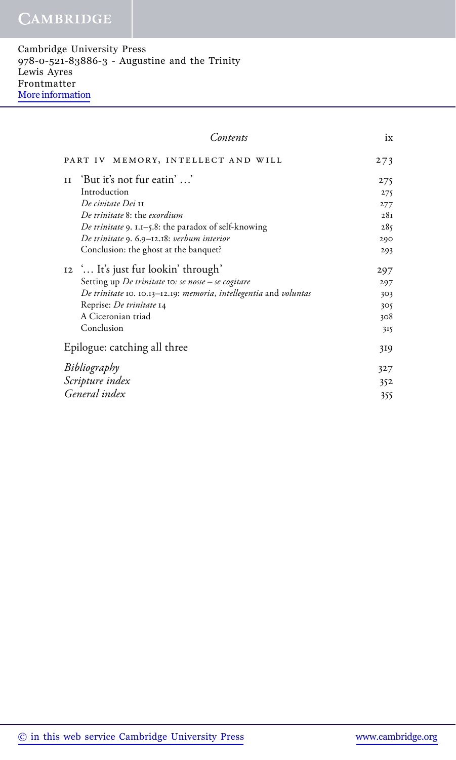Cambridge University Press 978-0-521-83886-3 - Augustine and the Trinity Lewis Ayres Frontmatter [More information](http://www.cambridge.org/9780521838863)

| Contents                                                          | ix              |
|-------------------------------------------------------------------|-----------------|
| PART IV MEMORY, INTELLECT AND WILL                                | 273             |
| II 'But it's not fur eatin' '                                     | 275             |
| Introduction                                                      | 275             |
| De civitate Dei II                                                | 277             |
| De trinitate 8: the exordium                                      | 28 <sub>I</sub> |
| <i>De trinitate</i> 9. 1.1–5.8: the paradox of self-knowing       | 285             |
| De trinitate $9.6.9-12.18$ : verbum interior                      | 290             |
| Conclusion: the ghost at the banquet?                             | 293             |
| 12  It's just fur lookin' through'                                | 297             |
| Setting up De trinitate 10: se nosse - se cogitare                | 297             |
| De trinitate 10. 10.13-12.19: memoria, intellegentia and voluntas | 303             |
| Reprise: <i>De trinitate</i> 14                                   | 305             |
| A Ciceronian triad                                                | 308             |
| Conclusion                                                        | 315             |
| Epilogue: catching all three                                      | 319             |
| Bibliography                                                      | 327             |
| Scripture index                                                   | 352             |
| General index                                                     | 355             |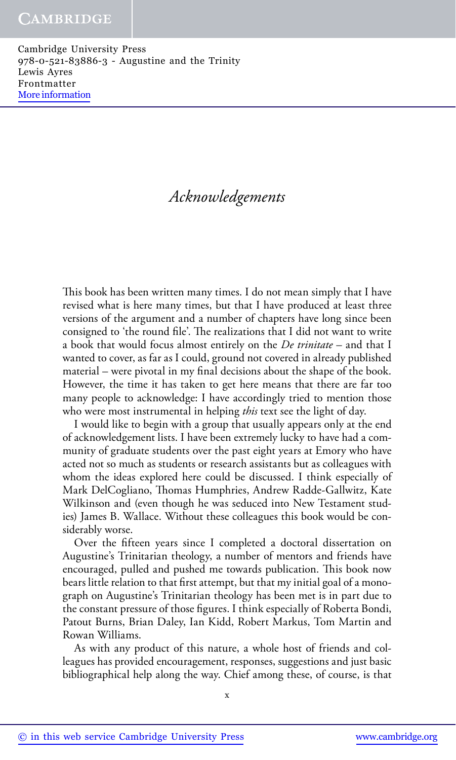# *Acknowledgements*

This book has been written many times. I do not mean simply that I have revised what is here many times, but that I have produced at least three versions of the argument and a number of chapters have long since been consigned to 'the round file'. The realizations that I did not want to write a book that would focus almost entirely on the *De trinitate* – and that I wanted to cover, as far as I could, ground not covered in already published material – were pivotal in my final decisions about the shape of the book. However, the time it has taken to get here means that there are far too many people to acknowledge: I have accordingly tried to mention those who were most instrumental in helping *this* text see the light of day.

I would like to begin with a group that usually appears only at the end of acknowledgement lists. I have been extremely lucky to have had a community of graduate students over the past eight years at Emory who have acted not so much as students or research assistants but as colleagues with whom the ideas explored here could be discussed. I think especially of Mark DelCogliano, Thomas Humphries, Andrew Radde-Gallwitz, Kate Wilkinson and (even though he was seduced into New Testament studies) James B. Wallace. Without these colleagues this book would be considerably worse.

Over the fifteen years since I completed a doctoral dissertation on Augustine's Trinitarian theology, a number of mentors and friends have encouraged, pulled and pushed me towards publication. This book now bears little relation to that first attempt, but that my initial goal of a monograph on Augustine's Trinitarian theology has been met is in part due to the constant pressure of those figures. I think especially of Roberta Bondi, Patout Burns, Brian Daley, Ian Kidd, Robert Markus, Tom Martin and Rowan Williams.

As with any product of this nature, a whole host of friends and colleagues has provided encouragement, responses, suggestions and just basic bibliographical help along the way. Chief among these, of course, is that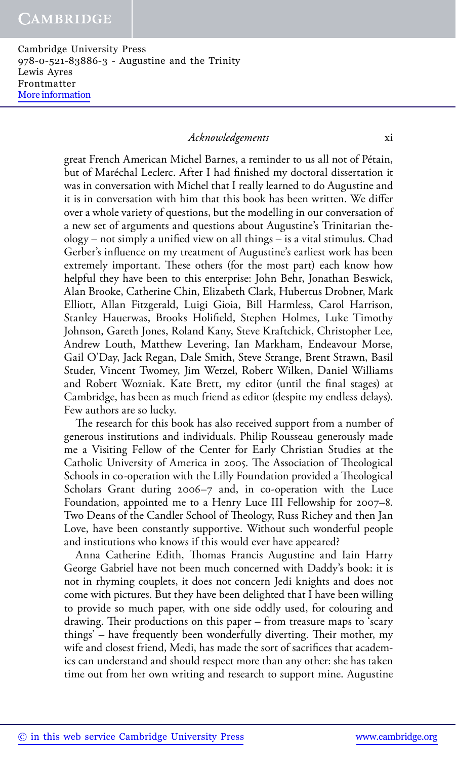#### *Acknowledgements* xi

great French American Michel Barnes, a reminder to us all not of Pétain, but of Maréchal Leclerc. After I had finished my doctoral dissertation it was in conversation with Michel that I really learned to do Augustine and it is in conversation with him that this book has been written. We differ over a whole variety of questions, but the modelling in our conversation of a new set of arguments and questions about Augustine's Trinitarian theology – not simply a unified view on all things – is a vital stimulus. Chad Gerber's influence on my treatment of Augustine's earliest work has been extremely important. These others (for the most part) each know how helpful they have been to this enterprise: John Behr, Jonathan Beswick, Alan Brooke, Catherine Chin, Elizabeth Clark, Hubertus Drobner, Mark Elliott, Allan Fitzgerald, Luigi Gioia, Bill Harmless, Carol Harrison, Stanley Hauerwas, Brooks Holifield, Stephen Holmes, Luke Timothy Johnson, Gareth Jones, Roland Kany, Steve Kraftchick, Christopher Lee, Andrew Louth, Matthew Levering, Ian Markham, Endeavour Morse, Gail O'Day, Jack Regan, Dale Smith, Steve Strange, Brent Strawn, Basil Studer, Vincent Twomey, Jim Wetzel, Robert Wilken, Daniel Williams and Robert Wozniak. Kate Brett, my editor (until the final stages) at Cambridge, has been as much friend as editor (despite my endless delays). Few authors are so lucky.

The research for this book has also received support from a number of generous institutions and individuals. Philip Rousseau generously made me a Visiting Fellow of the Center for Early Christian Studies at the Catholic University of America in 2005. The Association of Theological Schools in co-operation with the Lilly Foundation provided a Theological Scholars Grant during 2006–7 and, in co-operation with the Luce Foundation, appointed me to a Henry Luce III Fellowship for 2007–8. Two Deans of the Candler School of Theology, Russ Richey and then Jan Love, have been constantly supportive. Without such wonderful people and institutions who knows if this would ever have appeared?

Anna Catherine Edith, Thomas Francis Augustine and Iain Harry George Gabriel have not been much concerned with Daddy's book: it is not in rhyming couplets, it does not concern Jedi knights and does not come with pictures. But they have been delighted that I have been willing to provide so much paper, with one side oddly used, for colouring and drawing. Their productions on this paper – from treasure maps to 'scary things' – have frequently been wonderfully diverting. Their mother, my wife and closest friend, Medi, has made the sort of sacrifices that academics can understand and should respect more than any other: she has taken time out from her own writing and research to support mine. Augustine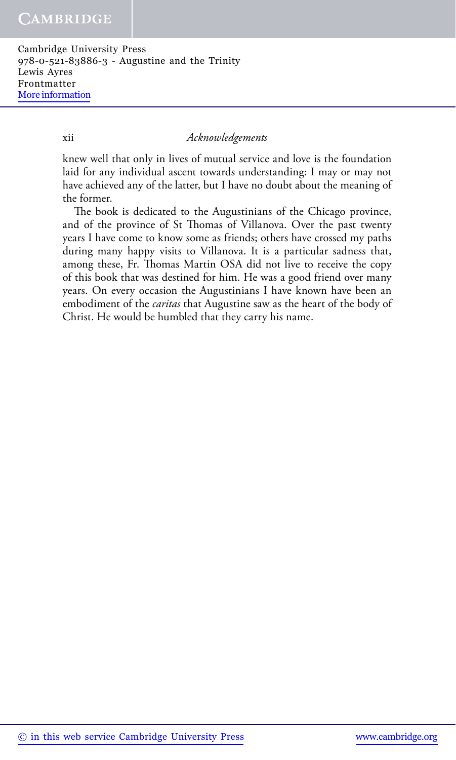xii *Acknowledgements*

knew well that only in lives of mutual service and love is the foundation laid for any individual ascent towards understanding: I may or may not have achieved any of the latter, but I have no doubt about the meaning of the former.

The book is dedicated to the Augustinians of the Chicago province, and of the province of St Thomas of Villanova. Over the past twenty years I have come to know some as friends; others have crossed my paths during many happy visits to Villanova. It is a particular sadness that, among these, Fr. Thomas Martin OSA did not live to receive the copy of this book that was destined for him. He was a good friend over many years. On every occasion the Augustinians I have known have been an embodiment of the *caritas* that Augustine saw as the heart of the body of Christ. He would be humbled that they carry his name.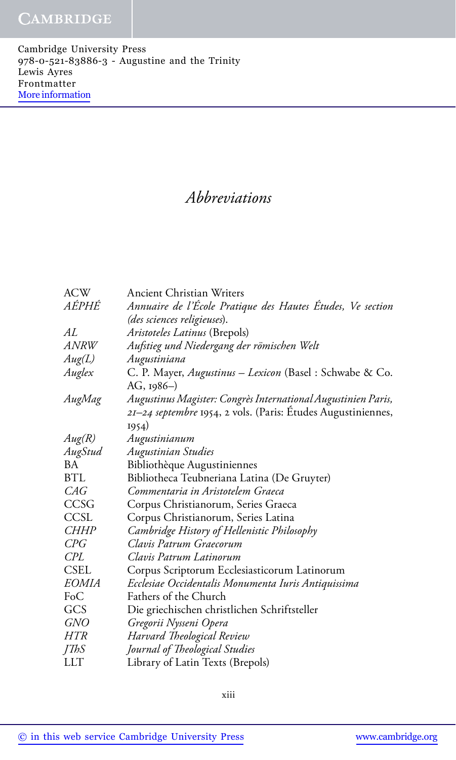# *Abbreviations*

| <b>ACW</b>   | <b>Ancient Christian Writers</b>                              |
|--------------|---------------------------------------------------------------|
| <i>AÉPHÉ</i> | Annuaire de l'École Pratique des Hautes Études, Ve section    |
|              | (des sciences religieuses).                                   |
| AL.          | Aristoteles Latinus (Brepols)                                 |
| ANRW         | Aufstieg und Niedergang der römischen Welt                    |
| Aug(L)       | Augustiniana                                                  |
| Auglex       | C. P. Mayer, Augustinus - Lexicon (Basel : Schwabe & Co.      |
|              | $AG, 1986-$                                                   |
| AugMag       | Augustinus Magister: Congrès International Augustinien Paris, |
|              | 21-24 septembre 1954, 2 vols. (Paris: Études Augustiniennes,  |
|              | 1954)                                                         |
| Aug(R)       | Augustinianum                                                 |
| AugStud      | Augustinian Studies                                           |
| BA           | Bibliothèque Augustiniennes                                   |
| BTL          | Bibliotheca Teubneriana Latina (De Gruyter)                   |
| CAG          | Commentaria in Aristotelem Graeca                             |
| CCSG         | Corpus Christianorum, Series Graeca                           |
| <b>CCSL</b>  | Corpus Christianorum, Series Latina                           |
| <i>CHHP</i>  | Cambridge History of Hellenistic Philosophy                   |
| CPG          | Clavis Patrum Graecorum                                       |
| CPL          | Clavis Patrum Latinorum                                       |
| <b>CSEL</b>  | Corpus Scriptorum Ecclesiasticorum Latinorum                  |
| <i>EOMIA</i> | Ecclesiae Occidentalis Monumenta Iuris Antiquissima           |
| FoC          | Fathers of the Church                                         |
| GCS          | Die griechischen christlichen Schriftsteller                  |
| <b>GNO</b>   | Gregorii Nysseni Opera                                        |
| <i>HTR</i>   | Harvard Theological Review                                    |
| JThS         | Journal of Theological Studies                                |
| LLT          | Library of Latin Texts (Brepols)                              |